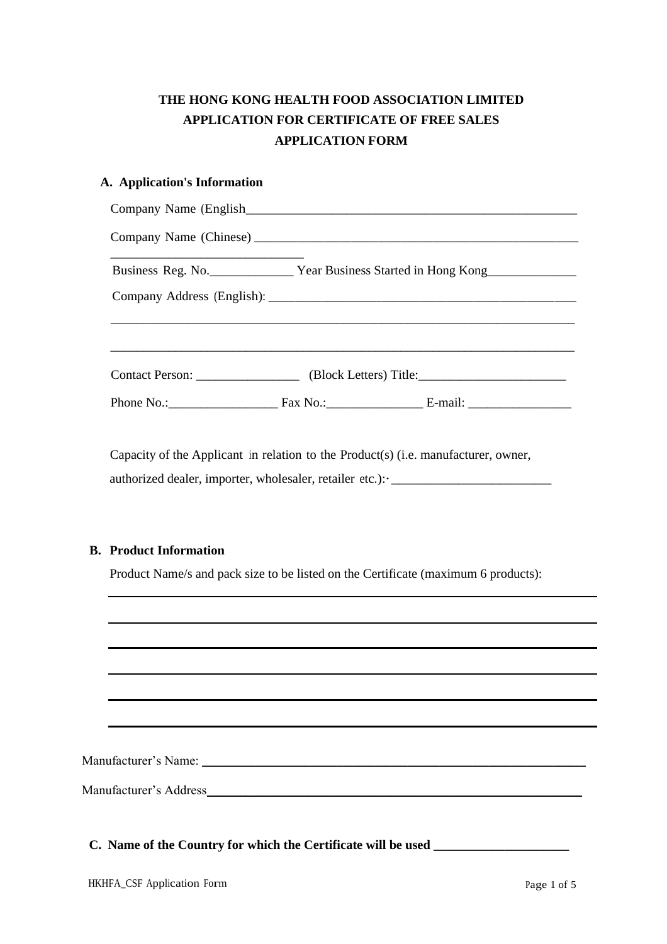# **THE HONG KONG HEALTH FOOD ASSOCIATION LIMITED APPLICATION FOR CERTIFICATE OF FREE SALES APPLICATION FORM**

# **A. Application's Information**

|                               | Business Reg. No. ________________ Year Business Started in Hong Kong____________                                                                                       |
|-------------------------------|-------------------------------------------------------------------------------------------------------------------------------------------------------------------------|
|                               |                                                                                                                                                                         |
|                               |                                                                                                                                                                         |
|                               | Capacity of the Applicant in relation to the Product(s) (i.e. manufacturer, owner,<br>authorized dealer, importer, wholesaler, retailer etc.): ._______________________ |
|                               | Product Name/s and pack size to be listed on the Certificate (maximum 6 products):                                                                                      |
| <b>B.</b> Product Information |                                                                                                                                                                         |
|                               |                                                                                                                                                                         |
|                               |                                                                                                                                                                         |
|                               |                                                                                                                                                                         |

**C. Name of the Country for which the Certificate will be used \_\_\_\_\_\_\_\_\_\_\_\_\_\_\_\_\_\_\_\_\_**

 $\overline{\phantom{a}}$ 

 $\overline{\phantom{0}}$ 

 $\overline{\phantom{0}}$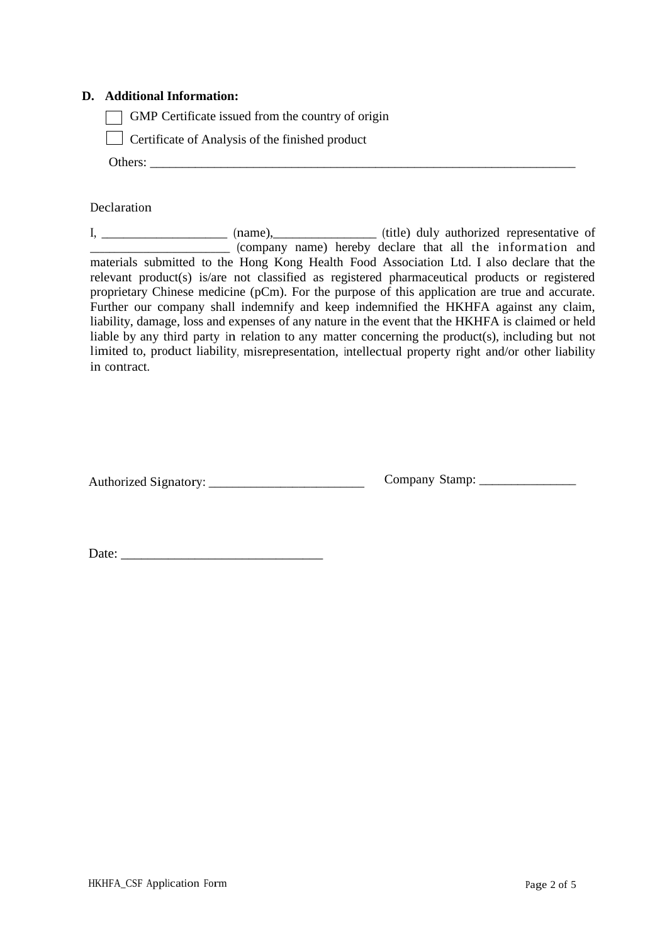### **D. Additional Information:**

GMP Certificate issued from the country of origin

**Certificate of Analysis of the finished product** 

Others: \_\_\_\_\_\_\_\_\_\_\_\_\_\_\_\_\_\_\_\_\_\_\_\_\_\_\_\_\_\_\_\_\_\_\_\_\_\_\_\_\_\_\_\_\_\_\_\_\_\_\_\_\_\_\_\_\_\_\_\_\_\_\_\_\_\_

#### Declaration

I, \_\_\_\_\_\_\_\_\_\_\_\_\_\_\_\_\_\_\_\_\_\_\_ (name), \_\_\_\_\_\_\_\_\_\_\_\_\_\_\_\_\_\_\_ (title) duly authorized representative of \_\_\_\_\_\_\_\_\_\_\_\_\_\_\_\_\_\_\_\_\_\_\_\_\_\_\_\_\_ (company name) hereby declare that all the information and materials submitted to the Hong Kong Health Food Association Ltd. I also declare that the relevant product(s) is/are not classified as registered pharmaceutical products or registered proprietary Chinese medicine (pCm). For the purpose of this application are true and accurate. Further our company shall indemnify and keep indemnified the HKHFA against any claim, liability, damage, loss and expenses of any nature in the event that the HKHFA is claimed or held liable by any third party in relation to any matter concerning the product(s), including but not limited to, product liability, misrepresentation, intellectual property right and/or other liability in contract.

Authorized Signatory: \_\_\_\_\_\_\_\_\_\_\_\_\_\_\_\_\_\_\_\_\_\_\_\_\_\_ Company Stamp: \_\_\_\_\_\_\_\_\_\_\_\_\_\_\_

Date: \_\_\_\_\_\_\_\_\_\_\_\_\_\_\_\_\_\_\_\_\_\_\_\_\_\_\_\_\_\_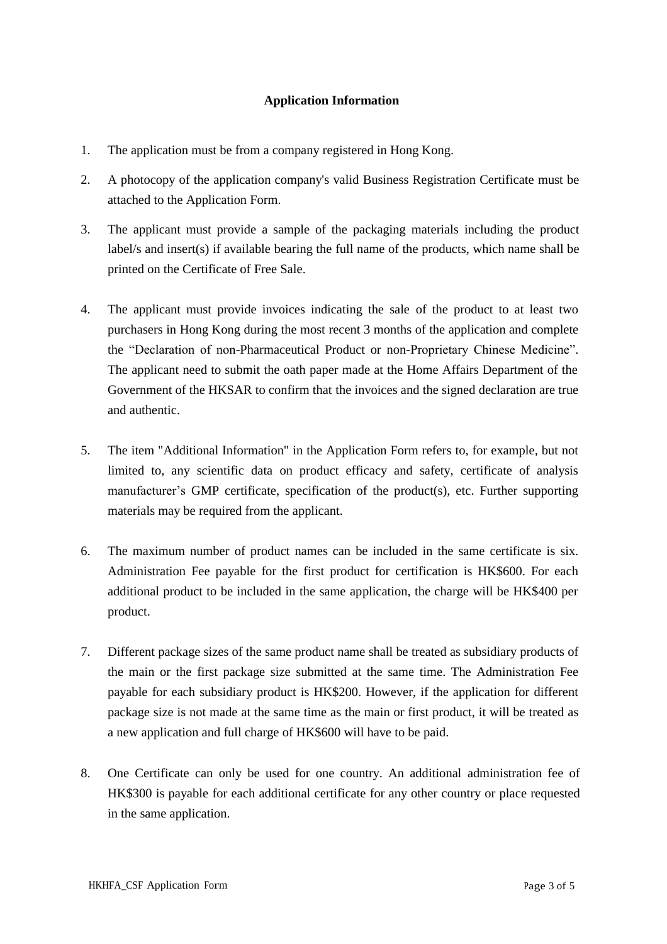# **Application Information**

- 1. The application must be from a company registered in Hong Kong.
- 2. A photocopy of the application company's valid Business Registration Certificate must be attached to the Application Form.
- 3. The applicant must provide a sample of the packaging materials including the product label/s and insert(s) if available bearing the full name of the products, which name shall be printed on the Certificate of Free Sale.
- 4. The applicant must provide invoices indicating the sale of the product to at least two purchasers in Hong Kong during the most recent 3 months of the application and complete the "Declaration of non-Pharmaceutical Product or non-Proprietary Chinese Medicine". The applicant need to submit the oath paper made at the Home Affairs Department of the Government of the HKSAR to confirm that the invoices and the signed declaration are true and authentic.
- 5. The item "Additional Information" in the Application Form refers to, for example, but not limited to, any scientific data on product efficacy and safety, certificate of analysis manufacturer's GMP certificate, specification of the product(s), etc. Further supporting materials may be required from the applicant.
- 6. The maximum number of product names can be included in the same certificate is six. Administration Fee payable for the first product for certification is HK\$600. For each additional product to be included in the same application, the charge will be HK\$400 per product.
- 7. Different package sizes of the same product name shall be treated as subsidiary products of the main or the first package size submitted at the same time. The Administration Fee payable for each subsidiary product is HK\$200. However, if the application for different package size is not made at the same time as the main or first product, it will be treated as a new application and full charge of HK\$600 will have to be paid.
- 8. One Certificate can only be used for one country. An additional administration fee of HK\$300 is payable for each additional certificate for any other country or place requested in the same application.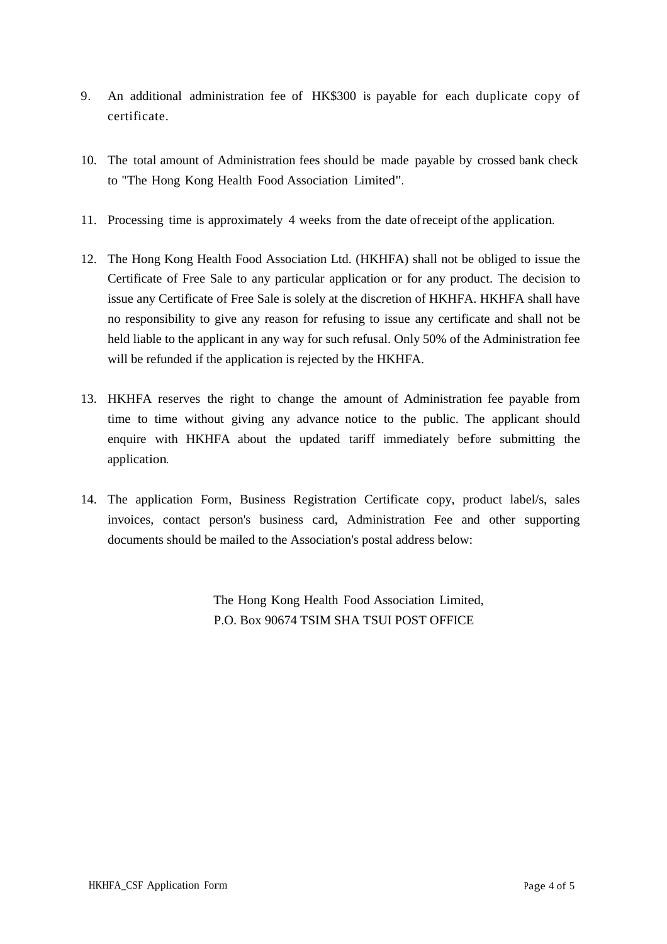- 9. An additional administration fee of HK\$300 is payable for each duplicate copy of certificate.
- 10. The total amount of Administration fees should be made payable by crossed bank check to "The Hong Kong Health Food Association Limited".
- 11. Processing time is approximately 4 weeks from the date ofreceipt ofthe application.
- 12. The Hong Kong Health Food Association Ltd. (HKHFA) shall not be obliged to issue the Certificate of Free Sale to any particular application or for any product. The decision to issue any Certificate of Free Sale is solely at the discretion of HKHFA. HKHFA shall have no responsibility to give any reason for refusing to issue any certificate and shall not be held liable to the applicant in any way for such refusal. Only 50% of the Administration fee will be refunded if the application is rejected by the HKHFA.
- 13. HKHFA reserves the right to change the amount of Administration fee payable from time to time without giving any advance notice to the public. The applicant should enquire with HKHFA about the updated tariff immediately before submitting the application.
- 14. The application Form, Business Registration Certificate copy, product label/s, sales invoices, contact person's business card, Administration Fee and other supporting documents should be mailed to the Association's postal address below:

The Hong Kong Health Food Association Limited, P.O. Box 90674 TSIM SHA TSUI POST OFFICE